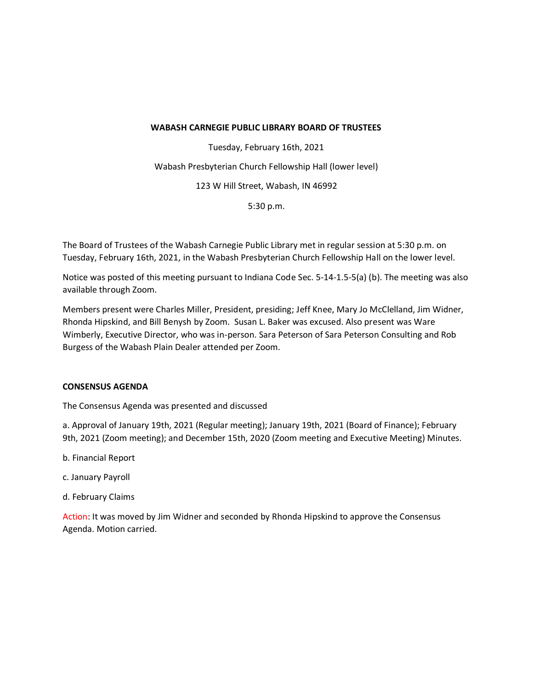### **WABASH CARNEGIE PUBLIC LIBRARY BOARD OF TRUSTEES**

Tuesday, February 16th, 2021 Wabash Presbyterian Church Fellowship Hall (lower level) 123 W Hill Street, Wabash, IN 46992 5:30 p.m.

The Board of Trustees of the Wabash Carnegie Public Library met in regular session at 5:30 p.m. on Tuesday, February 16th, 2021, in the Wabash Presbyterian Church Fellowship Hall on the lower level.

Notice was posted of this meeting pursuant to Indiana Code Sec. 5-14-1.5-5(a) (b). The meeting was also available through Zoom.

Members present were Charles Miller, President, presiding; Jeff Knee, Mary Jo McClelland, Jim Widner, Rhonda Hipskind, and Bill Benysh by Zoom. Susan L. Baker was excused. Also present was Ware Wimberly, Executive Director, who was in-person. Sara Peterson of Sara Peterson Consulting and Rob Burgess of the Wabash Plain Dealer attended per Zoom.

# **CONSENSUS AGENDA**

The Consensus Agenda was presented and discussed

a. Approval of January 19th, 2021 (Regular meeting); January 19th, 2021 (Board of Finance); February 9th, 2021 (Zoom meeting); and December 15th, 2020 (Zoom meeting and Executive Meeting) Minutes.

- b. Financial Report
- c. January Payroll
- d. February Claims

Action: It was moved by Jim Widner and seconded by Rhonda Hipskind to approve the Consensus Agenda. Motion carried.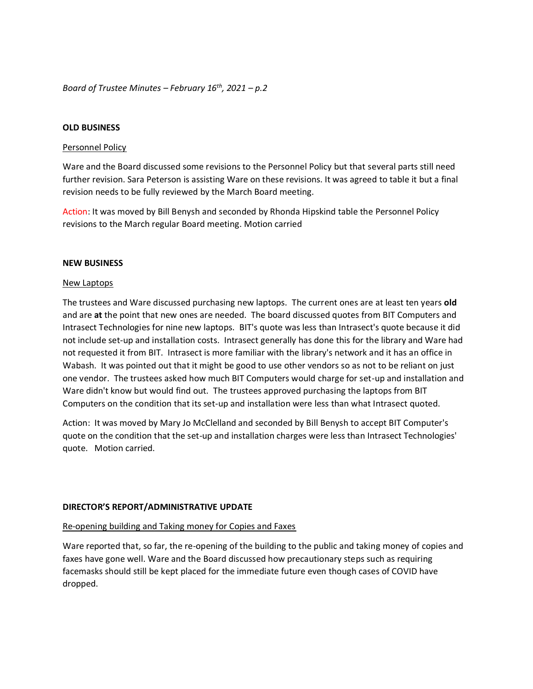*Board of Trustee Minutes – February 16th, 2021 – p.2*

#### **OLD BUSINESS**

#### Personnel Policy

Ware and the Board discussed some revisions to the Personnel Policy but that several parts still need further revision. Sara Peterson is assisting Ware on these revisions. It was agreed to table it but a final revision needs to be fully reviewed by the March Board meeting.

Action: It was moved by Bill Benysh and seconded by Rhonda Hipskind table the Personnel Policy revisions to the March regular Board meeting. Motion carried

#### **NEW BUSINESS**

#### New Laptops

The trustees and Ware discussed purchasing new laptops. The current ones are at least ten years **old**  and are **at** the point that new ones are needed. The board discussed quotes from BIT Computers and Intrasect Technologies for nine new laptops. BIT's quote was less than Intrasect's quote because it did not include set-up and installation costs. Intrasect generally has done this for the library and Ware had not requested it from BIT. Intrasect is more familiar with the library's network and it has an office in Wabash. It was pointed out that it might be good to use other vendors so as not to be reliant on just one vendor. The trustees asked how much BIT Computers would charge for set-up and installation and Ware didn't know but would find out. The trustees approved purchasing the laptops from BIT Computers on the condition that its set-up and installation were less than what Intrasect quoted.

Action: It was moved by Mary Jo McClelland and seconded by Bill Benysh to accept BIT Computer's quote on the condition that the set-up and installation charges were less than Intrasect Technologies' quote. Motion carried.

### **DIRECTOR'S REPORT/ADMINISTRATIVE UPDATE**

### Re-opening building and Taking money for Copies and Faxes

Ware reported that, so far, the re-opening of the building to the public and taking money of copies and faxes have gone well. Ware and the Board discussed how precautionary steps such as requiring facemasks should still be kept placed for the immediate future even though cases of COVID have dropped.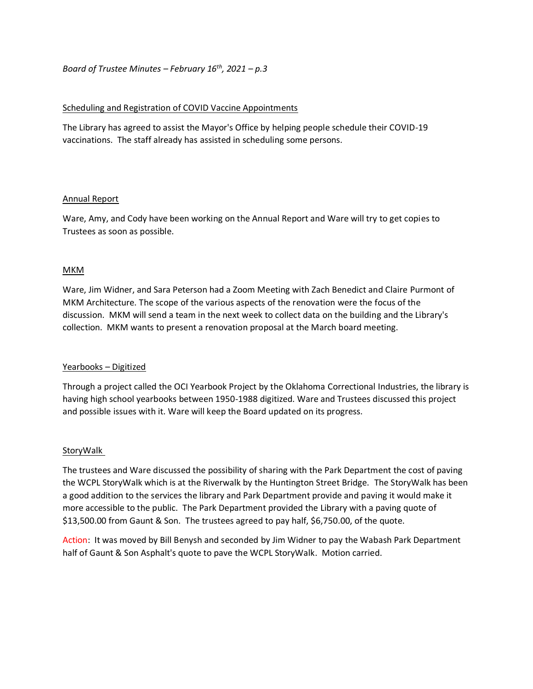# *Board of Trustee Minutes – February 16th, 2021 – p.3*

# Scheduling and Registration of COVID Vaccine Appointments

The Library has agreed to assist the Mayor's Office by helping people schedule their COVID-19 vaccinations. The staff already has assisted in scheduling some persons.

## Annual Report

Ware, Amy, and Cody have been working on the Annual Report and Ware will try to get copies to Trustees as soon as possible.

## MKM

Ware, Jim Widner, and Sara Peterson had a Zoom Meeting with Zach Benedict and Claire Purmont of MKM Architecture. The scope of the various aspects of the renovation were the focus of the discussion. MKM will send a team in the next week to collect data on the building and the Library's collection. MKM wants to present a renovation proposal at the March board meeting.

### Yearbooks – Digitized

Through a project called the OCI Yearbook Project by the Oklahoma Correctional Industries, the library is having high school yearbooks between 1950-1988 digitized. Ware and Trustees discussed this project and possible issues with it. Ware will keep the Board updated on its progress.

### **StoryWalk**

The trustees and Ware discussed the possibility of sharing with the Park Department the cost of paving the WCPL StoryWalk which is at the Riverwalk by the Huntington Street Bridge. The StoryWalk has been a good addition to the services the library and Park Department provide and paving it would make it more accessible to the public. The Park Department provided the Library with a paving quote of \$13,500.00 from Gaunt & Son. The trustees agreed to pay half, \$6,750.00, of the quote.

Action: It was moved by Bill Benysh and seconded by Jim Widner to pay the Wabash Park Department half of Gaunt & Son Asphalt's quote to pave the WCPL StoryWalk. Motion carried.